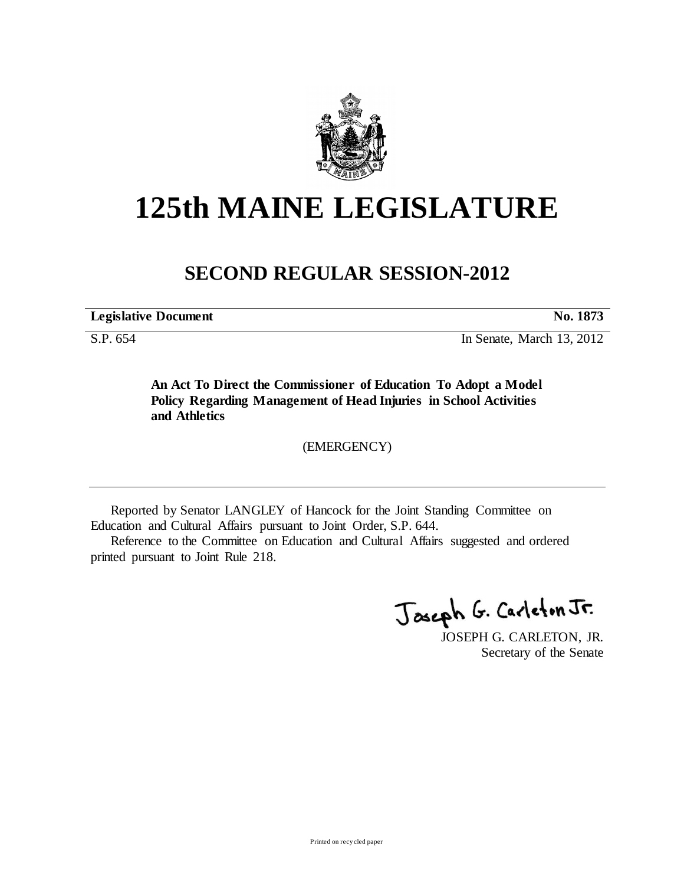

## **125th MAINE LEGISLATURE**

## **SECOND REGULAR SESSION-2012**

**Legislative Document No. 1873**

S.P. 654 In Senate, March 13, 2012

**An Act To Direct the Commissioner of Education To Adopt a Model Policy Regarding Management of Head Injuries in School Activities and Athletics**

(EMERGENCY)

Reported by Senator LANGLEY of Hancock for the Joint Standing Committee on Education and Cultural Affairs pursuant to Joint Order, S.P. 644.

Reference to the Committee on Education and Cultural Affairs suggested and ordered printed pursuant to Joint Rule 218.

Joseph G. Carleton Jr.

JOSEPH G. CARLETON, JR. Secretary of the Senate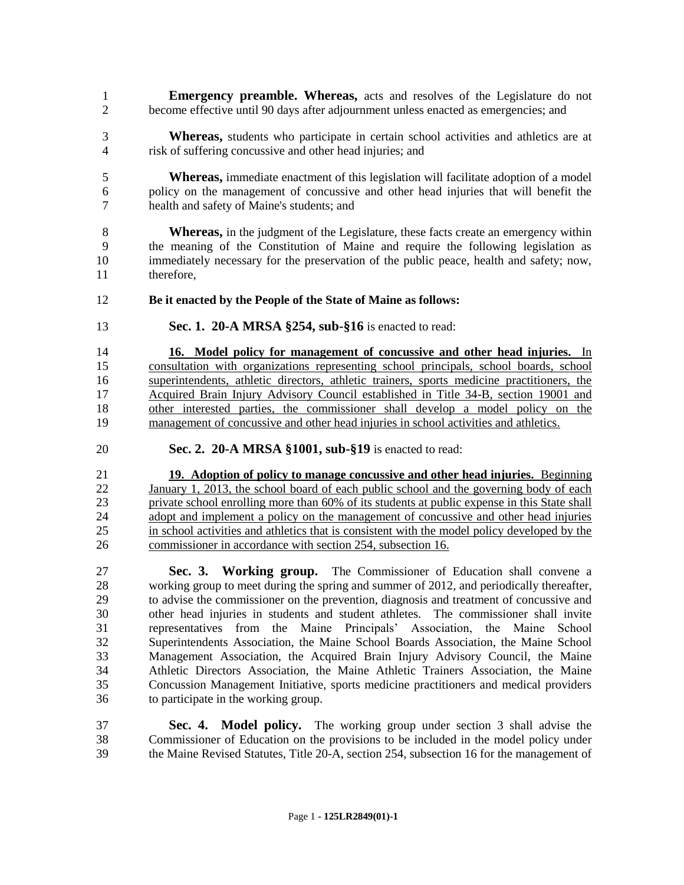- **Emergency preamble. Whereas,** acts and resolves of the Legislature do not become effective until 90 days after adjournment unless enacted as emergencies; and
- **Whereas,** students who participate in certain school activities and athletics are at risk of suffering concussive and other head injuries; and
- **Whereas,** immediate enactment of this legislation will facilitate adoption of a model policy on the management of concussive and other head injuries that will benefit the health and safety of Maine's students; and
- **Whereas,** in the judgment of the Legislature, these facts create an emergency within the meaning of the Constitution of Maine and require the following legislation as immediately necessary for the preservation of the public peace, health and safety; now, therefore,
- **Be it enacted by the People of the State of Maine as follows:**
- **Sec. 1. 20-A MRSA §254, sub-§16** is enacted to read:
- **16. Model policy for management of concussive and other head injuries.** In consultation with organizations representing school principals, school boards, school superintendents, athletic directors, athletic trainers, sports medicine practitioners, the Acquired Brain Injury Advisory Council established in Title 34-B, section 19001 and other interested parties, the commissioner shall develop a model policy on the management of concussive and other head injuries in school activities and athletics.
- **Sec. 2. 20-A MRSA §1001, sub-§19** is enacted to read:

 **19. Adoption of policy to manage concussive and other head injuries.** Beginning 22 January 1, 2013, the school board of each public school and the governing body of each private school enrolling more than 60% of its students at public expense in this State shall 24 adopt and implement a policy on the management of concussive and other head injuries in school activities and athletics that is consistent with the model policy developed by the commissioner in accordance with section 254, subsection 16.

 **Sec. 3. Working group.** The Commissioner of Education shall convene a working group to meet during the spring and summer of 2012, and periodically thereafter, to advise the commissioner on the prevention, diagnosis and treatment of concussive and other head injuries in students and student athletes. The commissioner shall invite representatives from the Maine Principals' Association, the Maine School Superintendents Association, the Maine School Boards Association, the Maine School Management Association, the Acquired Brain Injury Advisory Council, the Maine Athletic Directors Association, the Maine Athletic Trainers Association, the Maine Concussion Management Initiative, sports medicine practitioners and medical providers to participate in the working group.

 **Sec. 4. Model policy.** The working group under section 3 shall advise the Commissioner of Education on the provisions to be included in the model policy under the Maine Revised Statutes, Title 20-A, section 254, subsection 16 for the management of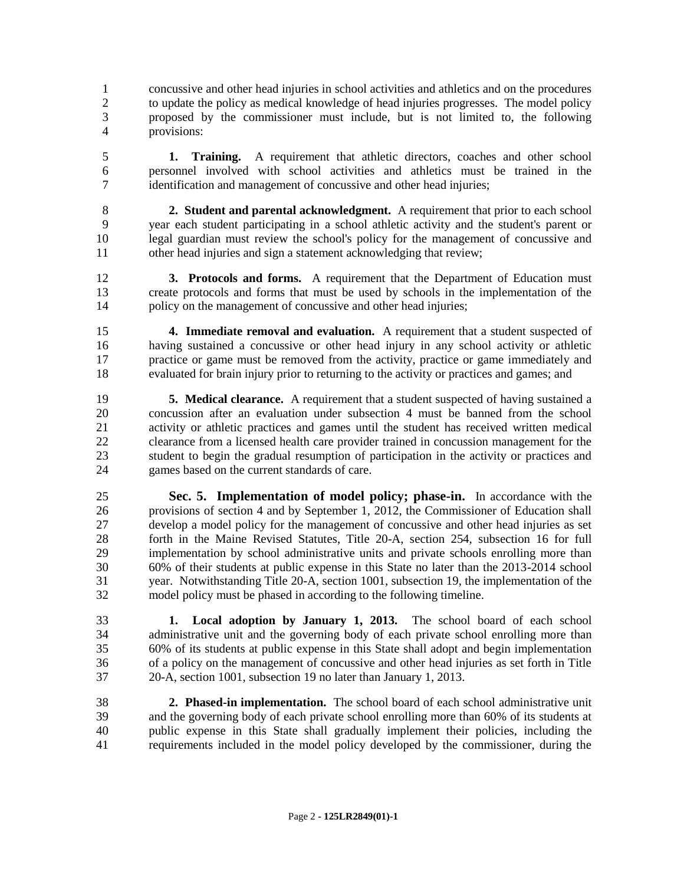concussive and other head injuries in school activities and athletics and on the procedures to update the policy as medical knowledge of head injuries progresses. The model policy proposed by the commissioner must include, but is not limited to, the following provisions:

 **1. Training.** A requirement that athletic directors, coaches and other school personnel involved with school activities and athletics must be trained in the identification and management of concussive and other head injuries;

 **2. Student and parental acknowledgment.** A requirement that prior to each school year each student participating in a school athletic activity and the student's parent or legal guardian must review the school's policy for the management of concussive and other head injuries and sign a statement acknowledging that review;

 **3. Protocols and forms.** A requirement that the Department of Education must create protocols and forms that must be used by schools in the implementation of the 14 policy on the management of concussive and other head injuries;

 **4. Immediate removal and evaluation.** A requirement that a student suspected of having sustained a concussive or other head injury in any school activity or athletic practice or game must be removed from the activity, practice or game immediately and evaluated for brain injury prior to returning to the activity or practices and games; and

 **5. Medical clearance.** A requirement that a student suspected of having sustained a concussion after an evaluation under subsection 4 must be banned from the school activity or athletic practices and games until the student has received written medical clearance from a licensed health care provider trained in concussion management for the student to begin the gradual resumption of participation in the activity or practices and games based on the current standards of care.

 **Sec. 5. Implementation of model policy; phase-in.** In accordance with the 26 provisions of section 4 and by September 1, 2012, the Commissioner of Education shall<br>27 develop a model policy for the management of concussive and other head injuries as set develop a model policy for the management of concussive and other head injuries as set forth in the Maine Revised Statutes, Title 20-A, section 254, subsection 16 for full implementation by school administrative units and private schools enrolling more than 60% of their students at public expense in this State no later than the 2013-2014 school year. Notwithstanding Title 20-A, section 1001, subsection 19, the implementation of the model policy must be phased in according to the following timeline.

 **1. Local adoption by January 1, 2013.** The school board of each school administrative unit and the governing body of each private school enrolling more than 60% of its students at public expense in this State shall adopt and begin implementation of a policy on the management of concussive and other head injuries as set forth in Title 20-A, section 1001, subsection 19 no later than January 1, 2013.

 **2. Phased-in implementation.** The school board of each school administrative unit and the governing body of each private school enrolling more than 60% of its students at public expense in this State shall gradually implement their policies, including the requirements included in the model policy developed by the commissioner, during the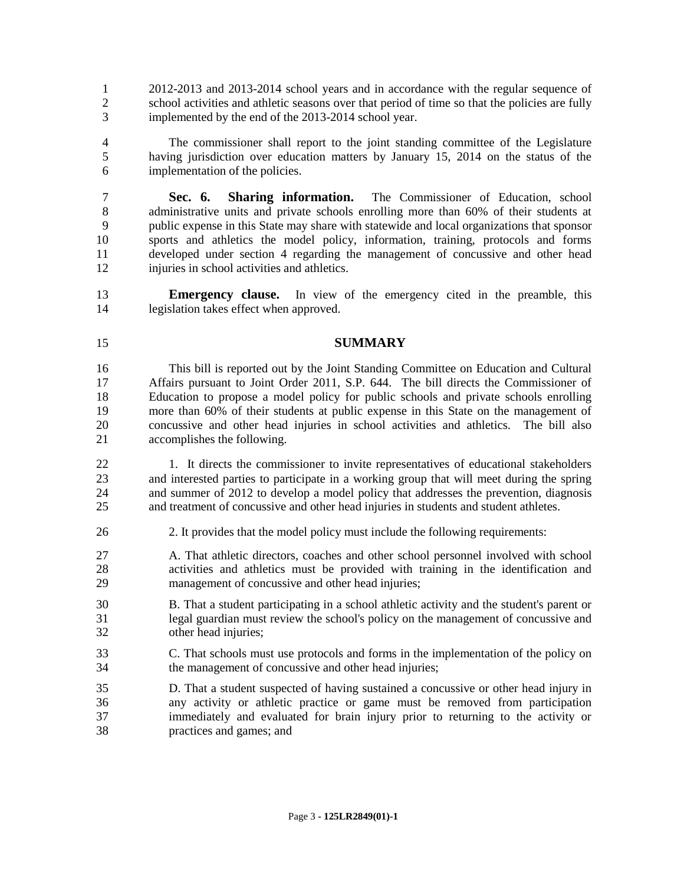2012-2013 and 2013-2014 school years and in accordance with the regular sequence of school activities and athletic seasons over that period of time so that the policies are fully implemented by the end of the 2013-2014 school year.

 The commissioner shall report to the joint standing committee of the Legislature having jurisdiction over education matters by January 15, 2014 on the status of the implementation of the policies.

 **Sec. 6. Sharing information.** The Commissioner of Education, school administrative units and private schools enrolling more than 60% of their students at public expense in this State may share with statewide and local organizations that sponsor sports and athletics the model policy, information, training, protocols and forms developed under section 4 regarding the management of concussive and other head injuries in school activities and athletics.

 **Emergency clause.** In view of the emergency cited in the preamble, this legislation takes effect when approved.

## **SUMMARY**

 This bill is reported out by the Joint Standing Committee on Education and Cultural Affairs pursuant to Joint Order 2011, S.P. 644. The bill directs the Commissioner of Education to propose a model policy for public schools and private schools enrolling 19 more than 60% of their students at public expense in this State on the management of concussive and other head injuries in school activities and athletics. The bill also concussive and other head injuries in school activities and athletics. The bill also accomplishes the following.

22 1. It directs the commissioner to invite representatives of educational stakeholders and interested parties to participate in a working group that will meet during the spring and summer of 2012 to develop a model policy that addresses the prevention, diagnosis and treatment of concussive and other head injuries in students and student athletes.

2. It provides that the model policy must include the following requirements:

 A. That athletic directors, coaches and other school personnel involved with school activities and athletics must be provided with training in the identification and management of concussive and other head injuries;

- B. That a student participating in a school athletic activity and the student's parent or legal guardian must review the school's policy on the management of concussive and other head injuries;
- C. That schools must use protocols and forms in the implementation of the policy on the management of concussive and other head injuries;
- D. That a student suspected of having sustained a concussive or other head injury in any activity or athletic practice or game must be removed from participation immediately and evaluated for brain injury prior to returning to the activity or practices and games; and